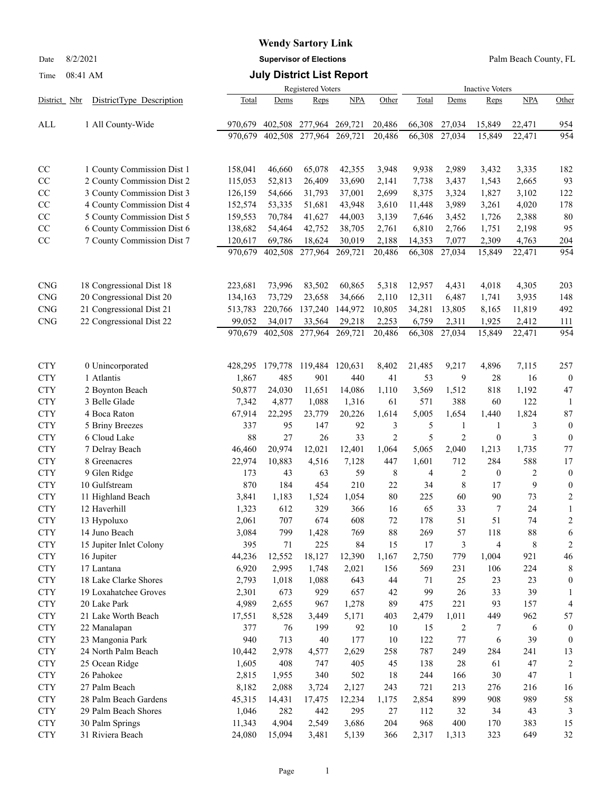# **Wendy Sartory Link**

Date 8/2/2021 **Supervisor of Elections** Palm Beach County, FL

### Time 08:41 AM **July District List Report**

|              |                            |                    |         | <b>Registered Voters</b> |         |                | <b>Inactive Voters</b> |                |                  |            |                  |  |
|--------------|----------------------------|--------------------|---------|--------------------------|---------|----------------|------------------------|----------------|------------------|------------|------------------|--|
| District Nbr | DistrictType Description   | Total              | Dems    | Reps                     | NPA     | Other          | Total                  | Dems           | Reps             | <b>NPA</b> | Other            |  |
| ALL          | 1 All County-Wide          | 970,679            | 402,508 | 277,964                  | 269,721 | 20,486         | 66,308                 | 27,034         | 15,849           | 22,471     | 954              |  |
|              |                            | 970,679            | 402,508 | 277,964                  | 269,721 | 20,486         | 66,308                 | 27,034         | 15,849           | 22,471     | 954              |  |
|              |                            |                    |         |                          |         |                |                        |                |                  |            |                  |  |
|              |                            |                    |         |                          |         |                |                        |                |                  |            |                  |  |
| CC           | 1 County Commission Dist 1 | 158,041            | 46,660  | 65,078                   | 42,355  | 3,948          | 9,938                  | 2,989          | 3,432            | 3,335      | 182              |  |
| CC           | 2 County Commission Dist 2 | 115,053            | 52,813  | 26,409                   | 33,690  | 2,141          | 7,738                  | 3,437          | 1,543            | 2,665      | 93               |  |
| CC           | 3 County Commission Dist 3 | 126,159            | 54,666  | 31,793                   | 37,001  | 2,699          | 8,375                  | 3,324          | 1,827            | 3,102      | 122              |  |
| CC           | 4 County Commission Dist 4 | 152,574<br>159,553 | 53,335  | 51,681                   | 43,948  | 3,610          | 11,448                 | 3,989          | 3,261            | 4,020      | 178              |  |
| CC           | 5 County Commission Dist 5 |                    | 70,784  | 41,627                   | 44,003  | 3,139          | 7,646                  | 3,452          | 1,726            | 2,388      | 80               |  |
| CC           | 6 County Commission Dist 6 | 138,682            | 54,464  | 42,752                   | 38,705  | 2,761          | 6,810                  | 2,766          | 1,751            | 2,198      | 95               |  |
| CC           | 7 County Commission Dist 7 | 120,617            | 69,786  | 18,624                   | 30,019  | 2,188          | 14,353                 | 7,077          | 2,309            | 4,763      | 204              |  |
|              |                            | 970,679            | 402,508 | 277,964                  | 269,721 | 20,486         | 66,308                 | 27,034         | 15,849           | 22,471     | 954              |  |
|              |                            |                    |         |                          |         |                |                        |                |                  |            |                  |  |
| <b>CNG</b>   | 18 Congressional Dist 18   | 223,681            | 73,996  | 83,502                   | 60,865  | 5,318          | 12,957                 | 4,431          | 4,018            | 4,305      | 203              |  |
| CNG          | 20 Congressional Dist 20   | 134,163            | 73,729  | 23,658                   | 34,666  | 2,110          | 12,311                 | 6,487          | 1,741            | 3,935      | 148              |  |
| <b>CNG</b>   | 21 Congressional Dist 21   | 513,783            | 220,766 | 137,240                  | 144,972 | 10,805         | 34,281                 | 13,805         | 8,165            | 11,819     | 492              |  |
| <b>CNG</b>   | 22 Congressional Dist 22   | 99,052             | 34,017  | 33,564                   | 29,218  | 2,253          | 6,759                  | 2,311          | 1,925            | 2,412      | 111              |  |
|              |                            | 970,679            | 402,508 | 277,964                  | 269,721 | 20,486         | 66,308                 | 27,034         | 15,849           | 22,471     | 954              |  |
|              |                            |                    |         |                          |         |                |                        |                |                  |            |                  |  |
| <b>CTY</b>   | 0 Unincorporated           | 428,295            | 179,778 | 119,484                  | 120,631 | 8,402          | 21,485                 | 9,217          | 4,896            | 7,115      | 257              |  |
| <b>CTY</b>   | 1 Atlantis                 | 1,867              | 485     | 901                      | 440     | 41             | 53                     | 9              | 28               | 16         | $\bf{0}$         |  |
| <b>CTY</b>   | 2 Boynton Beach            | 50,877             | 24,030  | 11,651                   | 14,086  | 1,110          | 3,569                  | 1,512          | 818              | 1,192      | 47               |  |
| <b>CTY</b>   | 3 Belle Glade              | 7,342              | 4,877   | 1,088                    | 1,316   | 61             | 571                    | 388            | 60               | 122        | -1               |  |
| <b>CTY</b>   | 4 Boca Raton               | 67,914             | 22,295  | 23,779                   | 20,226  | 1,614          | 5,005                  | 1,654          | 1,440            | 1,824      | $87\,$           |  |
| <b>CTY</b>   | 5 Briny Breezes            | 337                | 95      | 147                      | 92      | 3              | 5                      | $\mathbf{1}$   | 1                | 3          | $\boldsymbol{0}$ |  |
| <b>CTY</b>   | 6 Cloud Lake               | 88                 | 27      | 26                       | 33      | $\overline{2}$ | 5                      | $\overline{2}$ | $\boldsymbol{0}$ | 3          | $\boldsymbol{0}$ |  |
| <b>CTY</b>   | 7 Delray Beach             | 46,460             | 20,974  | 12,021                   | 12,401  | 1,064          | 5,065                  | 2,040          | 1,213            | 1,735      | $77 \,$          |  |
| <b>CTY</b>   | 8 Greenacres               | 22,974             | 10,883  | 4,516                    | 7,128   | 447            | 1,601                  | 712            | 284              | 588        | 17               |  |
| <b>CTY</b>   | 9 Glen Ridge               | 173                | 43      | 63                       | 59      | 8              | 4                      | $\overline{c}$ | $\mathbf{0}$     | 2          | $\boldsymbol{0}$ |  |
| <b>CTY</b>   | 10 Gulfstream              | 870                | 184     | 454                      | 210     | 22             | 34                     | 8              | 17               | 9          | $\boldsymbol{0}$ |  |
| <b>CTY</b>   | 11 Highland Beach          | 3,841              | 1,183   | 1,524                    | 1,054   | 80             | 225                    | 60             | 90               | 73         | $\overline{c}$   |  |
| <b>CTY</b>   | 12 Haverhill               | 1,323              | 612     | 329                      | 366     | 16             | 65                     | 33             | 7                | 24         | 1                |  |
| <b>CTY</b>   | 13 Hypoluxo                | 2,061              | 707     | 674                      | 608     | 72             | 178                    | 51             | 51               | 74         | $\overline{c}$   |  |
| <b>CTY</b>   | 14 Juno Beach              | 3,084              | 799     | 1,428                    | 769     | 88             | 269                    | 57             | 118              | 88         | 6                |  |
| <b>CTY</b>   | 15 Jupiter Inlet Colony    | 395                | 71      | 225                      | 84      | 15             | 17                     | 3              | 4                | 8          | $\overline{c}$   |  |
| <b>CTY</b>   | 16 Jupiter                 | 44,236             | 12,552  | 18,127                   | 12,390  | 1,167          | 2,750                  | 779            | 1,004            | 921        | 46               |  |
| <b>CTY</b>   | 17 Lantana                 | 6,920              | 2,995   | 1,748                    | 2,021   | 156            | 569                    | 231            | 106              | 224        | 8                |  |
| <b>CTY</b>   | 18 Lake Clarke Shores      | 2,793              | 1,018   | 1,088                    | 643     | 44             | 71                     | 25             | 23               | 23         | $\boldsymbol{0}$ |  |
| <b>CTY</b>   | 19 Loxahatchee Groves      | 2,301              | 673     | 929                      | 657     | 42             | 99                     | 26             | 33               | 39         | 1                |  |
| <b>CTY</b>   | 20 Lake Park               | 4,989              | 2,655   | 967                      | 1,278   | 89             | 475                    | 221            | 93               | 157        | 4                |  |
| <b>CTY</b>   | 21 Lake Worth Beach        | 17,551             | 8,528   | 3,449                    | 5,171   | 403            | 2,479                  | 1,011          | 449              | 962        | 57               |  |
| <b>CTY</b>   | 22 Manalapan               | 377                | 76      | 199                      | 92      | 10             | 15                     | 2              | 7                | 6          | $\mathbf{0}$     |  |
| <b>CTY</b>   | 23 Mangonia Park           | 940                | 713     | 40                       | 177     | 10             | 122                    | 77             | 6                | 39         | $\mathbf{0}$     |  |
| <b>CTY</b>   | 24 North Palm Beach        | 10,442             | 2,978   | 4,577                    | 2,629   | 258            | 787                    | 249            | 284              | 241        | 13               |  |
| <b>CTY</b>   | 25 Ocean Ridge             | 1,605              | 408     | 747                      | 405     | 45             | 138                    | 28             | 61               | 47         | 2                |  |
| <b>CTY</b>   | 26 Pahokee                 | 2,815              | 1,955   | 340                      | 502     | 18             | 244                    | 166            | 30               | 47         | 1                |  |
| <b>CTY</b>   | 27 Palm Beach              | 8,182              | 2,088   | 3,724                    | 2,127   | 243            | 721                    | 213            | 276              | 216        | 16               |  |
| <b>CTY</b>   | 28 Palm Beach Gardens      | 45,315             | 14,431  | 17,475                   | 12,234  | 1,175          | 2,854                  | 899            | 908              | 989        | 58               |  |
| <b>CTY</b>   | 29 Palm Beach Shores       | 1,046              | 282     | 442                      | 295     | 27             | 112                    | 32             | 34               | 43         | 3                |  |
| <b>CTY</b>   | 30 Palm Springs            | 11,343             | 4,904   | 2,549                    | 3,686   | 204            | 968                    | 400            | 170              | 383        | 15               |  |
| <b>CTY</b>   | 31 Riviera Beach           | 24,080             | 15,094  | 3,481                    | 5,139   | 366            | 2,317                  | 1,313          | 323              | 649        | 32               |  |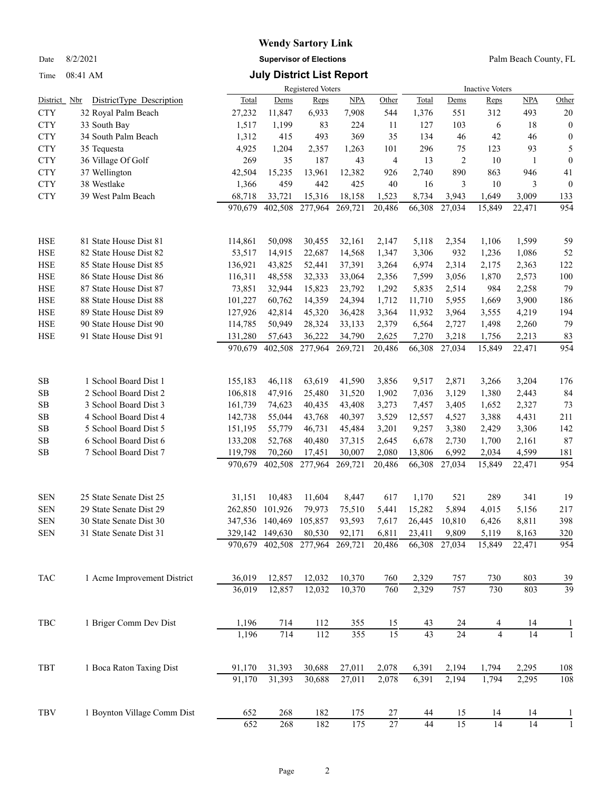Time 08:41 AM **July District List Report**

### **Wendy Sartory Link** Date 8/2/2021 **Supervisor of Elections** Palm Beach County, FL

|                |                             |         |                 | Registered Voters       |            |        | <b>Inactive Voters</b> |                 |                |                 |                  |  |
|----------------|-----------------------------|---------|-----------------|-------------------------|------------|--------|------------------------|-----------------|----------------|-----------------|------------------|--|
| District Nbr   | DistrictType Description    | Total   | Dems            | Reps                    | <b>NPA</b> | Other  | Total                  | Dems            | Reps           | <b>NPA</b>      | Other            |  |
| <b>CTY</b>     | 32 Royal Palm Beach         | 27,232  | 11,847          | 6,933                   | 7,908      | 544    | 1,376                  | 551             | 312            | 493             | 20               |  |
| <b>CTY</b>     | 33 South Bay                | 1,517   | 1,199           | 83                      | 224        | 11     | 127                    | 103             | 6              | 18              | $\theta$         |  |
| <b>CTY</b>     | 34 South Palm Beach         | 1,312   | 415             | 493                     | 369        | 35     | 134                    | 46              | 42             | 46              | $\boldsymbol{0}$ |  |
| <b>CTY</b>     | 35 Tequesta                 | 4,925   | 1,204           | 2,357                   | 1,263      | 101    | 296                    | 75              | 123            | 93              | 5                |  |
| <b>CTY</b>     | 36 Village Of Golf          | 269     | 35              | 187                     | 43         | 4      | 13                     | 2               | 10             | $\mathbf{1}$    | $\boldsymbol{0}$ |  |
| <b>CTY</b>     | 37 Wellington               | 42,504  | 15,235          | 13,961                  | 12,382     | 926    | 2,740                  | 890             | 863            | 946             | 41               |  |
| <b>CTY</b>     | 38 Westlake                 | 1,366   | 459             | 442                     | 425        | 40     | 16                     | 3               | 10             | 3               | $\theta$         |  |
| <b>CTY</b>     | 39 West Palm Beach          | 68,718  | 33,721          | 15,316                  | 18,158     | 1,523  | 8,734                  | 3,943           | 1,649          | 3,009           | 133              |  |
|                |                             | 970,679 | 402,508         | 277,964                 | 269,721    | 20,486 | 66,308                 | 27,034          | 15,849         | 22,471          | 954              |  |
| <b>HSE</b>     | 81 State House Dist 81      | 114,861 | 50,098          | 30,455                  | 32,161     | 2,147  | 5,118                  | 2,354           | 1,106          | 1,599           | 59               |  |
| <b>HSE</b>     | 82 State House Dist 82      | 53,517  | 14,915          | 22,687                  | 14,568     | 1,347  | 3,306                  | 932             | 1,236          | 1,086           | 52               |  |
| <b>HSE</b>     | 85 State House Dist 85      | 136,921 | 43,825          | 52,441                  | 37,391     | 3,264  | 6,974                  | 2,314           | 2,175          | 2,363           | 122              |  |
| HSE            | 86 State House Dist 86      | 116,311 | 48,558          | 32,333                  | 33,064     | 2,356  | 7,599                  | 3,056           | 1,870          | 2,573           | 100              |  |
| HSE            | 87 State House Dist 87      | 73,851  | 32,944          | 15,823                  | 23,792     | 1,292  | 5,835                  | 2,514           | 984            | 2,258           | 79               |  |
| HSE            | 88 State House Dist 88      | 101,227 | 60,762          | 14,359                  | 24,394     | 1,712  | 11,710                 | 5,955           | 1,669          | 3,900           | 186              |  |
| HSE            | 89 State House Dist 89      | 127,926 | 42,814          | 45,320                  | 36,428     | 3,364  | 11,932                 | 3,964           | 3,555          | 4,219           | 194              |  |
| HSE            | 90 State House Dist 90      | 114,785 | 50,949          | 28,324                  | 33,133     | 2,379  | 6,564                  | 2,727           | 1,498          | 2,260           | 79               |  |
| <b>HSE</b>     | 91 State House Dist 91      | 131,280 | 57,643          | 36,222                  | 34,790     | 2,625  | 7,270                  | 3,218           | 1,756          | 2,213           | 83               |  |
|                |                             | 970,679 | 402,508         | 277,964                 | 269,721    | 20,486 | 66,308                 | 27,034          | 15,849         | 22,471          | 954              |  |
| SB             | 1 School Board Dist 1       | 155,183 | 46,118          | 63,619                  | 41,590     | 3,856  | 9,517                  | 2,871           | 3,266          | 3,204           | 176              |  |
| SB             | 2 School Board Dist 2       | 106,818 | 47,916          | 25,480                  | 31,520     | 1,902  | 7,036                  | 3,129           | 1,380          | 2,443           | 84               |  |
| SB             | 3 School Board Dist 3       | 161,739 | 74,623          | 40,435                  | 43,408     | 3,273  | 7,457                  | 3,405           | 1,652          | 2,327           | 73               |  |
| SB             | 4 School Board Dist 4       | 142,738 | 55,044          | 43,768                  | 40,397     | 3,529  | 12,557                 | 4,527           | 3,388          | 4,431           | 211              |  |
| SB             | 5 School Board Dist 5       | 151,195 | 55,779          | 46,731                  | 45,484     | 3,201  | 9,257                  | 3,380           | 2,429          | 3,306           | 142              |  |
| SB             | 6 School Board Dist 6       | 133,208 | 52,768          | 40,480                  | 37,315     | 2,645  | 6,678                  | 2,730           | 1,700          | 2,161           | 87               |  |
| SB             | 7 School Board Dist 7       | 119,798 | 70,260          | 17,451                  | 30,007     | 2,080  | 13,806                 | 6,992           | 2,034          | 4,599           | 181              |  |
|                |                             | 970,679 | 402,508         | 277,964                 | 269,721    | 20,486 | 66,308                 | 27,034          | 15,849         | 22,471          | 954              |  |
| <b>SEN</b>     | 25 State Senate Dist 25     | 31,151  | 10,483          | 11,604                  | 8,447      | 617    | 1,170                  | 521             | 289            | 341             | 19               |  |
| <b>SEN</b>     | 29 State Senate Dist 29     | 262,850 | 101,926         | 79,973                  | 75,510     | 5,441  | 15,282                 | 5,894           | 4,015          | 5,156           | 217              |  |
| <b>SEN</b>     | 30 State Senate Dist 30     |         | 347,536 140,469 | 105,857                 | 93,593     | 7,617  | 26,445                 | 10,810          | 6,426          | 8,811           | 398              |  |
| ${\hbox{SEN}}$ | 31 State Senate Dist 31     |         | 329,142 149,630 | 80,530                  | 92,171     | 6,811  | 23,411                 | 9,809           | 5,119          | 8,163           | 320              |  |
|                |                             |         |                 | 970,679 402,508 277,964 | 269,721    | 20,486 | 66,308                 | 27,034          | 15,849         | 22,471          | 954              |  |
| <b>TAC</b>     | 1 Acme Improvement District | 36,019  | 12,857          | 12,032                  | 10,370     | 760    | 2,329                  | 757             | 730            | 803             | 39               |  |
|                |                             | 36,019  | 12,857          | 12,032                  | 10,370     | 760    | 2,329                  | 757             | 730            | 803             | 39               |  |
| TBC            | 1 Briger Comm Dev Dist      | 1,196   | 714             | 112                     | 355        | 15     | 43                     | 24              | 4              | 14              |                  |  |
|                |                             | 1,196   | 714             | 112                     | 355        | 15     | $\overline{43}$        | $\overline{24}$ | $\overline{4}$ | $\overline{14}$ | $\mathbf{1}$     |  |
| TBT            | 1 Boca Raton Taxing Dist    | 91,170  | 31,393          | 30,688                  | 27,011     | 2,078  | 6,391                  | 2,194           | 1,794          | 2,295           | 108              |  |
|                |                             | 91,170  | 31,393          | 30,688                  | 27,011     | 2,078  | 6,391                  | 2,194           | 1,794          | 2,295           | 108              |  |
| TBV            | 1 Boynton Village Comm Dist | 652     | 268             | 182                     | 175        | 27     | 44                     | 15              | 14             | 14              | 1                |  |

652 268 182 175 27 44 15 14 14 1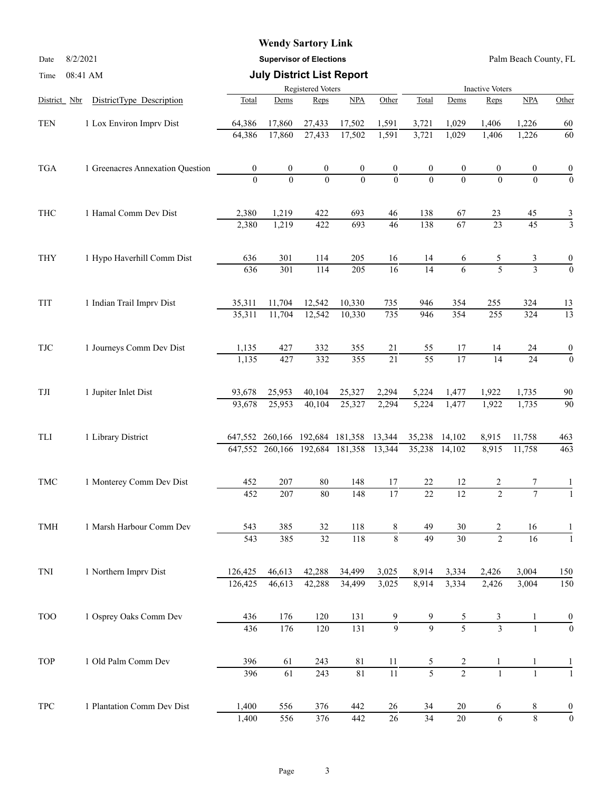### **Wendy Sartory Link**

Date 8/2/2021 **Supervisor of Elections** Palm Beach County, FL

| Time                 | 08:41 AM                         |                  | <b>July District List Report</b> |                   |                  |                  |                 |                  |                        |                 |                  |
|----------------------|----------------------------------|------------------|----------------------------------|-------------------|------------------|------------------|-----------------|------------------|------------------------|-----------------|------------------|
|                      |                                  |                  |                                  | Registered Voters |                  |                  |                 |                  | <b>Inactive Voters</b> |                 |                  |
| District Nbr         | DistrictType Description         | Total            | Dems                             | Reps              | NPA              | Other            | Total           | Dems             | Reps                   | NPA             | Other            |
| <b>TEN</b>           | 1 Lox Environ Imprv Dist         | 64,386           | 17,860                           | 27,433            | 17,502           | 1,591            | 3,721           | 1,029            | 1,406                  | 1,226           | 60               |
|                      |                                  | 64,386           | 17,860                           | 27,433            | 17,502           | 1,591            | 3,721           | 1,029            | 1,406                  | 1,226           | 60               |
| <b>TGA</b>           | 1 Greenacres Annexation Question | $\boldsymbol{0}$ | $\boldsymbol{0}$                 | $\boldsymbol{0}$  | $\boldsymbol{0}$ | $\overline{0}$   |                 | $\boldsymbol{0}$ | 0                      | 0               |                  |
|                      |                                  | $\Omega$         | $\theta$                         | $\overline{0}$    | $\Omega$         | $\overline{0}$   |                 | $\Omega$         | $\Omega$               | $\Omega$        | $\overline{0}$   |
| THC                  | 1 Hamal Comm Dev Dist            | 2,380            | 1,219                            | 422               | 693              | 46               | 138             | 67               | 23                     | 45              | $\frac{3}{3}$    |
|                      |                                  | 2,380            | 1,219                            | 422               | 693              | 46               | 138             | $\overline{67}$  | $\overline{23}$        | $\overline{45}$ |                  |
| <b>THY</b>           | 1 Hypo Haverhill Comm Dist       | 636              | 301                              | 114               | 205              | 16               | 14              | 6                | 5                      | 3               |                  |
|                      |                                  | 636              | 301                              | 114               | 205              | $\overline{16}$  | $\overline{14}$ | 6                | $\overline{5}$         | $\overline{3}$  | $\overline{0}$   |
| TIT                  | 1 Indian Trail Imprv Dist        | 35,311           | 11,704                           | 12,542            | 10,330           | 735              | 946             | 354              | 255                    | 324             | 13               |
|                      |                                  | 35,311           | 11,704                           | 12,542            | 10,330           | $\overline{735}$ | 946             | 354              | $\overline{255}$       | 324             | $\overline{13}$  |
| <b>TJC</b>           | 1 Journeys Comm Dev Dist         | 1,135            | 427                              | 332               | 355              | 21               | 55              | 17               | 14                     | 24              | $\boldsymbol{0}$ |
|                      |                                  | 1,135            | 427                              | 332               | 355              | $\overline{21}$  | $\overline{55}$ | $\overline{17}$  | 14                     | $\overline{24}$ | $\mathbf{0}$     |
| $\operatorname{TJI}$ | 1 Jupiter Inlet Dist             | 93,678           | 25,953                           | 40,104            | 25,327           | 2,294            | 5,224           | 1,477            | 1,922                  | 1,735           | 90               |
|                      |                                  | 93,678           | 25,953                           | 40,104            | 25,327           | 2,294            | 5,224           | 1,477            | 1,922                  | 1,735           | 90               |
| TLI                  | 1 Library District               |                  | 647,552 260,166 192,684 181,358  |                   |                  | 13,344           | 35,238          | 14,102           | 8,915                  | 11,758          | 463              |
|                      |                                  |                  | 647,552 260,166 192,684 181,358  |                   |                  | 13,344           | 35,238          | 14,102           | 8,915                  | 11,758          | 463              |
| <b>TMC</b>           | 1 Monterey Comm Dev Dist         | 452              | 207                              | 80                | 148              | 17               | 22              | 12               |                        |                 |                  |
|                      |                                  | 452              | 207                              | 80                | 148              | $\overline{17}$  | $\overline{22}$ | $\overline{12}$  | $\mathcal{L}$          | $\overline{7}$  |                  |
| TMH                  | 1 Marsh Harbour Comm Dev         | 543              | 385                              | 32                | 118              | 8                | 49              | 30               | 2                      | 16              |                  |
|                      |                                  | 543              | 385                              | $\overline{32}$   | 118              | $\,8\,$          | 49              | $\overline{30}$  | $\overline{2}$         | 16              |                  |
| TNI                  | 1 Northern Imprv Dist            | 126,425          | 46,613                           | 42,288            | 34,499           | 3,025            | 8,914           | 3,334            | 2,426                  | 3,004           | 150              |
|                      |                                  | 126,425          | 46,613                           | 42,288            | 34,499           | 3,025            | 8,914           | 3,334            | 2,426                  | 3,004           | 150              |
| <b>TOO</b>           | 1 Osprey Oaks Comm Dev           | 436              | 176                              | 120               | 131              | 9                |                 | 5                | 3                      |                 | $\frac{0}{0}$    |
|                      |                                  | 436              | 176                              | 120               | 131              | $\overline{9}$   | $\overline{9}$  | $\overline{5}$   | $\overline{3}$         |                 |                  |
| <b>TOP</b>           | 1 Old Palm Comm Dev              | 396              | 61                               | 243               | $81\,$           | 11               | 5               | 2                |                        |                 |                  |
|                      |                                  | 396              | $\overline{61}$                  | 243               | 81               | $\overline{11}$  | $\overline{5}$  | $\overline{2}$   | $\mathbf{1}$           | $\mathbf{1}$    |                  |
| <b>TPC</b>           | 1 Plantation Comm Dev Dist       | 1,400            | 556                              | 376               | 442              | 26               | 34              | 20               | 6                      | 8               | $\boldsymbol{0}$ |
|                      |                                  | 1,400            | 556                              | 376               | 442              | $\overline{26}$  | $\overline{34}$ | $\overline{20}$  | $\overline{6}$         | $\overline{8}$  | $\boldsymbol{0}$ |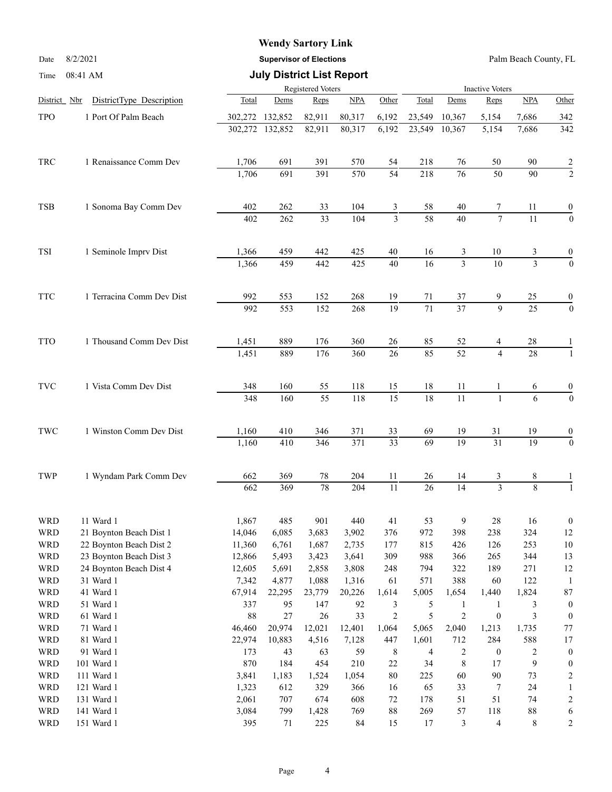## **Wendy Sartory Link**

Date 8/2/2021 **Supervisor of Elections** Palm Beach County, FL

#### Time 08:41 AM **July District List Report**

|                          | <b>OO. 11 THAT</b>                                 |                |                   |                 |              |                  |                 |                                |                         |                         |                        |
|--------------------------|----------------------------------------------------|----------------|-------------------|-----------------|--------------|------------------|-----------------|--------------------------------|-------------------------|-------------------------|------------------------|
| District Nbr             |                                                    |                | Registered Voters |                 |              |                  | Total           |                                | <b>Inactive Voters</b>  |                         |                        |
|                          | DistrictType Description                           | Total          | Dems              | Reps            | NPA          | Other            |                 | Dems                           | Reps                    | <b>NPA</b>              | Other                  |
| <b>TPO</b>               | 1 Port Of Palm Beach                               | 302,272        | 132,852           | 82,911          | 80,317       | 6,192            | 23,549          | 10,367                         | 5,154                   | 7,686                   | 342                    |
|                          |                                                    | 302,272        | 132,852           | 82,911          | 80,317       | 6,192            | 23,549          | 10,367                         | 5,154                   | 7,686                   | 342                    |
| TRC                      | 1 Renaissance Comm Dev                             | 1,706          | 691               | 391             | 570          | 54               | 218             | 76                             | 50                      | 90                      | 2                      |
|                          |                                                    | 1,706          | 691               | 391             | 570          | $\overline{54}$  | 218             | 76                             | 50                      | 90                      | $\overline{2}$         |
| <b>TSB</b>               | 1 Sonoma Bay Comm Dev                              | 402            | 262               | 33              | 104          | 3                | 58              | 40                             | 7                       | 11                      | 0                      |
|                          |                                                    | 402            | 262               | 33              | 104          | 3                | 58              | 40                             | $\overline{7}$          | 11                      | $\boldsymbol{0}$       |
| TSI                      | 1 Seminole Imprv Dist                              | 1,366          | 459               | 442             | 425          | $40\,$           | 16              | 3                              | 10                      | 3                       | $\boldsymbol{0}$       |
|                          |                                                    | 1,366          | 459               | 442             | 425          | $\overline{40}$  | 16              | 3                              | $\overline{10}$         | $\overline{3}$          | $\mathbf{0}$           |
| <b>TTC</b>               | 1 Terracina Comm Dev Dist                          | 992            | 553               | 152             | 268          | 19               | 71              | 37                             | 9                       | 25                      | $\boldsymbol{0}$       |
|                          |                                                    | 992            | 553               | 152             | 268          | $\overline{19}$  | $\overline{71}$ | $\overline{37}$                | $\overline{9}$          | $\overline{25}$         | $\overline{0}$         |
| <b>TTO</b>               | 1 Thousand Comm Dev Dist                           | 1,451          | 889               | 176             | 360          | 26               | 85              | 52                             | 4                       | 28                      |                        |
|                          |                                                    | 1,451          | 889               | 176             | 360          | 26               | 85              | $\overline{52}$                | $\overline{4}$          | 28                      | $\overline{1}$         |
| $\operatorname{TVC}$     | 1 Vista Comm Dev Dist                              | 348            | 160               | 55              | 118          | 15               | 18              | 11                             | 1                       | 6                       | 0                      |
|                          |                                                    | 348            | 160               | $\overline{55}$ | 118          | $\overline{15}$  | 18              | $\overline{11}$                | $\mathbf{1}$            | 6                       | $\overline{0}$         |
| TWC                      | 1 Winston Comm Dev Dist                            | 1,160          | 410               | 346             | 371          | 33               | 69              | 19                             | 31                      | 19                      | 0                      |
|                          |                                                    | 1,160          | 410               | 346             | 371          | $\overline{33}$  | $\overline{69}$ | $\overline{19}$                | $\overline{31}$         | $\overline{19}$         | $\theta$               |
| TWP                      | 1 Wyndam Park Comm Dev                             | 662            | 369               | $78\,$          | 204          | 11               | 26              | 14                             | 3                       | 8                       |                        |
|                          |                                                    | 662            | 369               | $\overline{78}$ | 204          | $\overline{11}$  | 26              | 14                             | $\overline{3}$          | $\overline{8}$          |                        |
| <b>WRD</b>               | 11 Ward 1                                          | 1,867          | 485               | 901             | 440          | 41               | 53              | 9                              | $28\,$                  | 16                      | $\boldsymbol{0}$       |
| <b>WRD</b>               | 21 Boynton Beach Dist 1                            | 14,046         | 6,085             | 3,683           | 3,902        | 376              | 972             | 398                            | 238                     | 324                     | 12                     |
| <b>WRD</b>               | 22 Boynton Beach Dist 2<br>23 Boynton Beach Dist 3 | 11,360         | 6,761             | 1,687           | 2,735        | 177              | 815             | 426                            | 126                     | 253                     | $10\,$                 |
| <b>WRD</b>               | 24 Boynton Beach Dist 4                            | 12,866         | 5,493             | 3,423           | 3,641        | 309              | 988             | 366                            | 265                     | 344                     | 13                     |
| <b>WRD</b><br><b>WRD</b> | 31 Ward 1                                          | 12,605         | 5,691             | 2,858           | 3,808        | 248              | 794             | 322<br>388                     | 189                     | 271<br>122              | 12<br>1                |
|                          | 41 Ward 1                                          | 7,342          | 4,877             | 1,088           | 1,316        | 61               | 571<br>5,005    |                                | 60                      |                         |                        |
| <b>WRD</b><br><b>WRD</b> | 51 Ward 1                                          | 67,914<br>337  | 22,295<br>95      | 23,779<br>147   | 20,226<br>92 | 1,614<br>3       | 5               | 1,654                          | 1,440<br>$\mathbf{1}$   | 1,824<br>$\mathfrak{Z}$ | 87<br>$\boldsymbol{0}$ |
| <b>WRD</b>               | 61 Ward 1                                          | $88\,$         | $27\,$            | $26\,$          | 33           | $\overline{c}$   | 5               | $\mathbf{1}$<br>$\overline{c}$ | $\boldsymbol{0}$        | $\mathfrak{Z}$          | $\boldsymbol{0}$       |
|                          |                                                    |                |                   |                 |              |                  |                 | 2,040                          |                         |                         |                        |
| WRD                      | 71 Ward 1                                          | 46,460         | 20,974            | 12,021          | 12,401       | 1,064            | 5,065           |                                | 1,213                   | 1,735                   | $77 \,$                |
| <b>WRD</b><br><b>WRD</b> | 81 Ward 1<br>91 Ward 1                             | 22,974<br>173  | 10,883            | 4,516           | 7,128<br>59  | 447              | 1,601           | 712                            | 284                     | 588                     | 17                     |
| <b>WRD</b>               | 101 Ward 1                                         |                | 43<br>184         | 63              | 210          | $\,8\,$          | 4<br>34         | $\overline{c}$<br>8            | $\boldsymbol{0}$<br>17  | $\sqrt{2}$<br>9         | $\boldsymbol{0}$       |
|                          | 111 Ward 1                                         | 870            |                   | 454             | 1,054        | $22\,$<br>$80\,$ |                 | 60                             | $90\,$                  | 73                      | 0                      |
| <b>WRD</b><br><b>WRD</b> | 121 Ward 1                                         | 3,841<br>1,323 | 1,183<br>612      | 1,524<br>329    | 366          | 16               | 225<br>65       | 33                             | 7                       | 24                      | 2<br>1                 |
| <b>WRD</b>               | 131 Ward 1                                         | 2,061          | 707               | 674             | 608          | $72\,$           | 178             | 51                             | 51                      | 74                      |                        |
| <b>WRD</b>               | 141 Ward 1                                         | 3,084          | 799               | 1,428           | 769          | $88\,$           | 269             | 57                             | 118                     | $88\,$                  | 2                      |
| <b>WRD</b>               | 151 Ward 1                                         | 395            | 71                | 225             | 84           | 15               | 17              | $\mathfrak{Z}$                 | $\overline{\mathbf{4}}$ | $\,8\,$                 | 6<br>$\overline{c}$    |
|                          |                                                    |                |                   |                 |              |                  |                 |                                |                         |                         |                        |